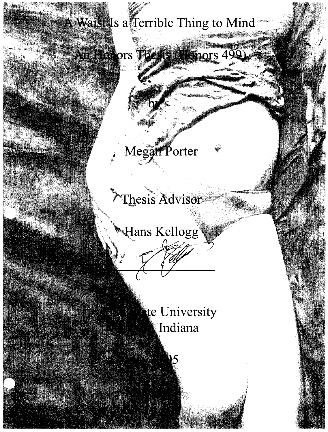# A Waist Is a Terrible Thing to Mind

An Honors Thesis (Honors 499).

Megan Porter

## <sup>></sup>Thesis Advisor®

Hans Kellogg

**Let University J.I. A.** Indiana

**Bellieberg**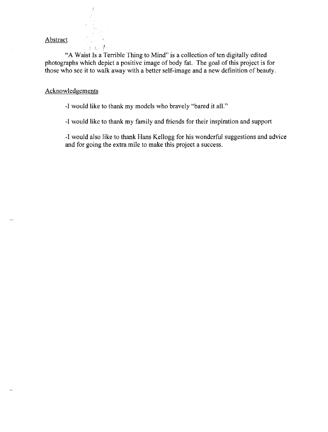#### Abstract

"A Waist Is a Terrible Thing to Mind" is a collection of ten digitally edited photographs which depict a positive image of body fat. The goal of this project is for those who see it to walk away with a better self-image and a new definition of beauty.

### Acknowledgements

ェレサー

-I would like to thank my models who bravely "bared it all."

-I would like to thank my family and friends for their inspiration and support

-I would also like to thank Hans Kellogg for his wonderful suggestions and advice and for going the extra mile to make this project a success.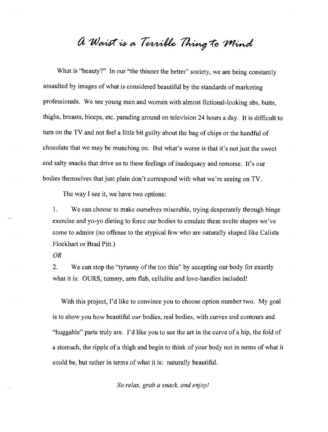### a Waist is a Terrible Thing to Mind

What is "beauty?" In our "the thinner the better" society, we are being constantly assaulted by images of what is considered beautiful by the standards of marketing professionals. We see young men and women with almost fictional-looking abs, butts, thighs, breasts, biceps, etc. parading around on television 24 hours a day. It is difficult to tum on the TV and not feel a little bit guilty about the bag of chips or the handful of chocolate that we may be munching on. But what's worse is that it's not just the sweet and salty snacks that drive us to these feelings ofinadequacy and remorse. It's our bodies themselves that just plain don't correspond with what we're seeing on TV.

The way I see it, we have two options:

1. We can choose to make ourselves miserable, trying desperately through binge exercise and yo-yo dieting to force our bodies to emulate these svelte shapes we've corne to admire (no offense to the atypical few who are naturally shaped like Calista Flockhart or Brad Pitt.)

*OR* 

2. We can stop the "tyranny of the too thin" by accepting our body for exactly what it is: OURS, tummy, arm flab, cellulite and love-handles included!

With this project, I'd like to convince you to choose option number two. My goal is to show you how beautiful *our* bodies, real bodies, with curves and contours and "huggable" parts truly are. I'd like you to see the art in the curve of a hip, the fold of a stomach, the ripple of a thigh and begin to think of your body not in terms of what it could be, but rather in terms of what it is: naturally beautiful.

*So relax, grab a snack, and enjoy!*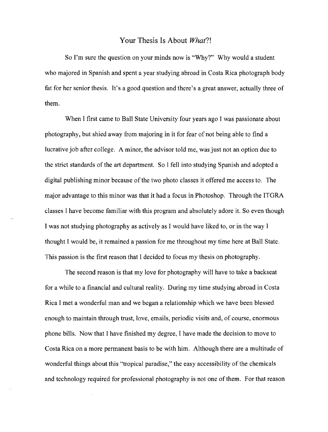### Your Thesis Is About *What?!*

So I'm sure the question on your minds now is "Why?" Why would a student who majored in Spanish and spent a year studying abroad in Costa Rica photograph body fat for her senior thesis. It's a good question and there's a great answer, actually three of them.

When I first came to Ball State University four years ago I was passionate about photography, but shied away from majoring in it for fear of not being able to find a lucrative job after college. A minor, the advisor told me, was just not an option due to the strict standards of the art department. So I fell into studying Spanish and adopted a digital publishing minor because of the two photo classes it offered me access to. The major advantage to this minor was that it had a focus in Photoshop. Through the ITGRA classes I have become familiar with this program and absolutely adore it. So even though I was not studying photography as actively as I would have liked to, or in the way I thought I would be, it remained a passion for me throughout my time here at Ball State. This passion is the first reason that I decided to focus my thesis on photography.

The second reason is that my love for photography will have to take a backseat for a while to a financial and cultural reality. During my time studying abroad in Costa Rica I met a wonderful man and we began a relationship which we have been blessed enough to maintain through trust, love, emails, periodic visits and, of course, enormous phone bills. Now that I have finished my degree, I have made the decision to move to Costa Rica on a more permanent basis to be with him. Although there are a multitude of wonderful things about this "tropical paradise," the easy accessibility of the chemicals and technology required for professional photography is not one of them. For that reason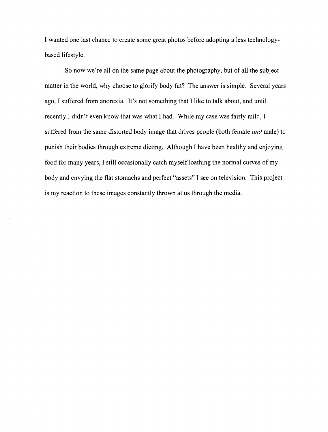I wanted one last chance to create some great photos before adopting a less technologybased lifestyle.

So now we're all on the same page about the photography, but of all the subject matter in the world, why choose to glorify body fat? The answer is simple. Several years ago, I suffered from anorexia. It's not something that I like to talk about, and until recently I didn't even know that was what I had. While my case was fairly mild, I suffered from the same distorted body image that drives people (both female *and* male) to punish their bodies through extreme dieting. Although I have been healthy and enjoying food for many years, I still occasionally catch myself loathing the normal curves of my body and envying the flat stomachs and perfect "assets" I see on television. This project is my reaction to these images constantly thrown at us through the media.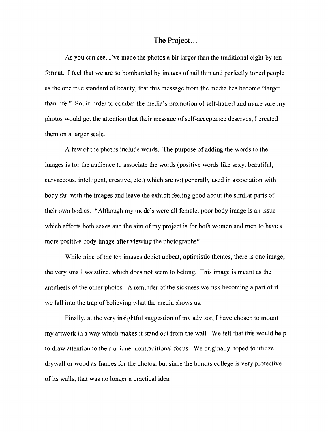### The Project. ..

As you can see, I've made the photos a bit larger than the traditional eight by ten format. I feel that we are so bombarded by images of rail thin and perfectly toned people as the one true standard of beauty, that this message from the media has become "larger than life." So, in order to combat the media's promotion of self-hatred and make sure my photos would get the attention that their message of self-acceptance deserves, I created them on a larger scale.

A few of the photos include words. The purpose of adding the words to the images is for the audience to associate the words (positive words like sexy, beautiful, curvaceous, intelligent, creative, etc.) which are not generally used in association with body fat, with the images and leave the exhibit feeling good about the similar parts of their own bodies. \*Although my models were all female, poor body image is an issue which affects both sexes and the aim of my project is for both women and men to have a more positive body image after viewing the photographs<sup>\*</sup>

While nine of the ten images depict upbeat, optimistic themes, there is one image, the very small waistline, which does not seem to belong. This image is meant as the antithesis of the other photos. A reminder of the sickness we risk becoming a part of if we fall into the trap of believing what the media shows us.

Finally, at the very insightful suggestion of my advisor, I have chosen to mount my artwork in a way which makes it stand out from the wall. We felt that this would help to draw attention to their unique, nontraditional focus. We originally hoped to utilize drywall or wood as frames for the photos, but since the honors college is very protective of its walls, that was no longer a practical idea.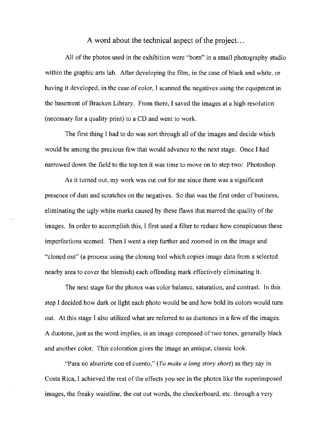A word about the technical aspect of the project. ..

All of the photos used in the exhibition were "born" in a small photography studio within the graphic arts lab. After developing the film, in the case of black and white, or having it developed, in the case of color, I scanned the negatives using the equipment in the basement of Bracken Library. From there, I saved the images at a high resolution (necessary for a quality print) to a CD and went to work.

The first thing I had to do was sort through all of the images and decide which would be among the precious few that would advance to the next stage. Once I had narrowed down the field to the top ten it was time to move on to step two: Photoshop.

As it turned out, my work was cut out for me since there was a significant presence of dust and scratches on the negatives. So that was the first order of business, eliminating the ugly white marks caused by these flaws that marred the quality of the images. In order to accomplish this, I first used a filter to reduce how conspicuous these imperfections seemed. Then I went a step further and zoomed in on the image and "cloned out" (a process using the cloning tool which copies image data from a selected nearby area to cover the blemish) each offending mark effectively eliminating it.

The next stage for the photos was color balance, saturation, and contrast. In this step I decided how dark or light each photo would be and how bold its colors would turn out. At this stage I also utilized what are referred to as duotones in a few of the images. A duotone, just as the word implies, is an image composed of two tones, generally black and another color. This coloration gives the image an antique, classic look.

"Para no aburrirte con el cuento," *(To make a long story short)* as they say in Costa Rica, I achieved the rest of the effects you see in the photos like the superimposed images, the freaky waistline, the cut out words, the checkerboard, etc. through a very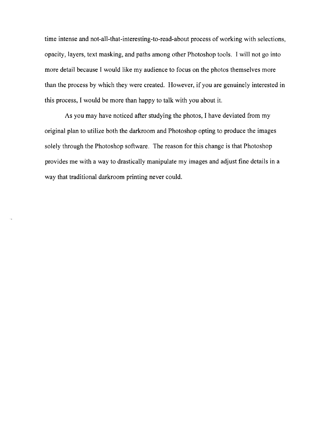time intense and not-all-that-interesting-to-read-about process of working with selections, opacity, layers, text masking, and paths among other Photoshop tools. I will not go into more detail because I would like my audience to focus on the photos themselves more than the process by which they were created. However, if you are genuinely interested in this process, I would be more than happy to talk with you about it.

As you may have noticed after studying the photos, I have deviated from my original plan to utilize both the darkroom and Photoshop opting to produce the images solely through the Photoshop software. The reason for this change is that Photoshop provides me with a way to drastically manipulate my images and adjust fine details in a way that traditional darkroom printing never could.